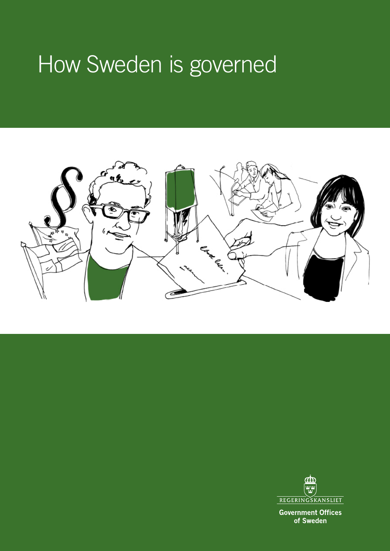# How Sweden is governed





**Government Offices** of Sweden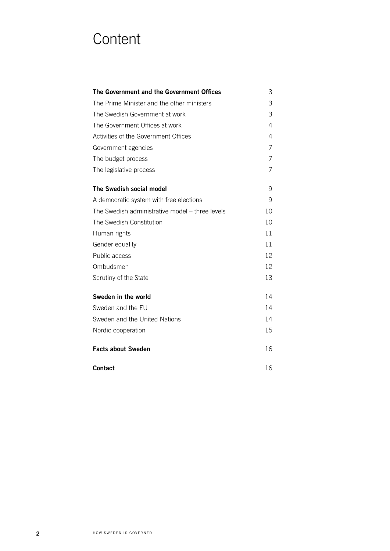## **Content**

| The Government and the Government Offices       | 3  |
|-------------------------------------------------|----|
| The Prime Minister and the other ministers      | 3  |
| The Swedish Government at work                  | 3  |
| The Government Offices at work                  | 4  |
| Activities of the Government Offices            | 4  |
| Government agencies                             | 7  |
| The budget process                              | 7  |
| The legislative process                         | 7  |
| The Swedish social model                        | 9  |
| A democratic system with free elections         | 9  |
| The Swedish administrative model – three levels | 10 |
| The Swedish Constitution                        | 10 |
| Human rights                                    | 11 |
| Gender equality                                 | 11 |
| Public access                                   | 12 |
| Ombudsmen                                       | 12 |
| Scrutiny of the State                           | 13 |
| Sweden in the world                             | 14 |
| Sweden and the EU                               | 14 |
| Sweden and the United Nations                   | 14 |
| Nordic cooperation                              | 15 |
| <b>Facts about Sweden</b>                       | 16 |
| <b>Contact</b>                                  | 16 |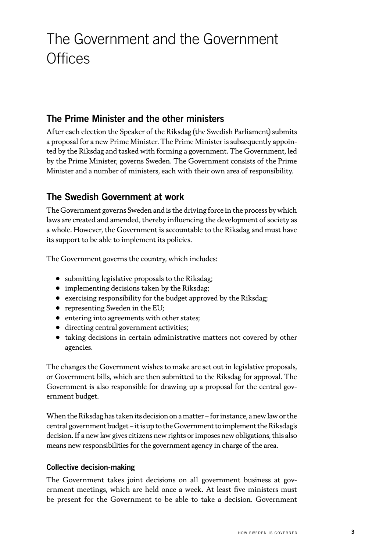## <span id="page-2-0"></span>The Government and the Government **Offices**

## The Prime Minister and the other ministers

After each election the Speaker of the Riksdag (the Swedish Parliament) submits a proposal for a new Prime Minister. The Prime Minister is subsequently appointed by the Riksdag and tasked with forming a government. The Government, led by the Prime Minister, governs Sweden. The Government consists of the Prime Minister and a number of ministers, each with their own area of responsibility.

## The Swedish Government at work

The Government governs Sweden and is the driving force in the process by which laws are created and amended, thereby influencing the development of society as a whole. However, the Government is accountable to the Riksdag and must have its support to be able to implement its policies.

The Government governs the country, which includes:

- submitting legislative proposals to the Riksdag;
- implementing decisions taken by the Riksdag;
- exercising responsibility for the budget approved by the Riksdag;
- representing Sweden in the EU;
- entering into agreements with other states;
- directing central government activities;
- taking decisions in certain administrative matters not covered by other agencies.

The changes the Government wishes to make are set out in legislative proposals, or Government bills, which are then submitted to the Riksdag for approval. The Government is also responsible for drawing up a proposal for the central government budget.

When the Riksdag has taken its decision on a matter – for instance, a new law or the central government budget – it is up to the Government to implement the Riksdag's decision. If a new law gives citizens new rights or imposes new obligations, this also means new responsibilities for the government agency in charge of the area.

#### Collective decision-making

The Government takes joint decisions on all government business at government meetings, which are held once a week. At least five ministers must be present for the Government to be able to take a decision. Government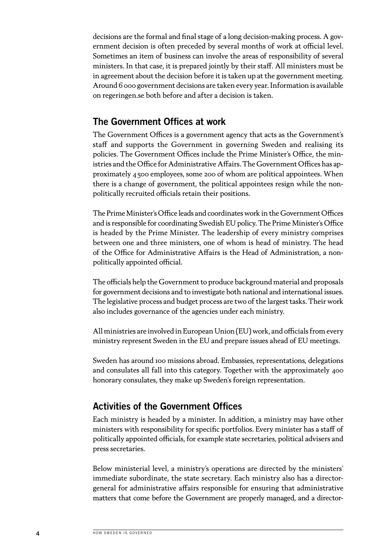<span id="page-3-0"></span>decisions are the formal and final stage of a long decision-making process. A government decision is often preceded by several months of work at official level. Sometimes an item of business can involve the areas of responsibility of several ministers. In that case, it is prepared jointly by their staff. All ministers must be in agreement about the decision before it is taken up at the government meeting. Around 6 000 government decisions are taken every year. Information is available on regeringen.se both before and after a decision is taken.

### The Government Offices at work

The Government Offices is a government agency that acts as the Government's staff and supports the Government in governing Sweden and realising its policies. The Government Offices include the Prime Minister's Office, the ministries and the Office for Administrative Affairs. The Government Offices has approximately 4500 employees, some 200 of whom are political appointees. When there is a change of government, the political appointees resign while the nonpolitically recruited officials retain their positions.

The Prime Minister's Office leads and coordinates work in the Government Offices and is responsible for coordinating Swedish EU policy. The Prime Minister's Office is headed by the Prime Minister. The leadership of every ministry comprises between one and three ministers, one of whom is head of ministry. The head of the Office for Administrative Affairs is the Head of Administration, a nonpolitically appointed official.

The officials help the Government to produce background material and proposals for government decisions and to investigate both national and international issues. The legislative process and budget process are two of the largest tasks. Their work also includes governance of the agencies under each ministry.

All ministries are involved in European Union (EU) work, and officials from every ministry represent Sweden in the EU and prepare issues ahead of EU meetings.

Sweden has around 100 missions abroad. Embassies, representations, delegations and consulates all fall into this category. Together with the approximately 400 honorary consulates, they make up Sweden's foreign representation.

### Activities of the Government Offices

Each ministry is headed by a minister. In addition, a ministry may have other ministers with responsibility for specific portfolios. Every minister has a staff of politically appointed officials, for example state secretaries, political advisers and press secretaries.

Below ministerial level, a ministry's operations are directed by the ministers' immediate subordinate, the state secretary. Each ministry also has a directorgeneral for administrative affairs responsible for ensuring that administrative matters that come before the Government are properly managed, and a director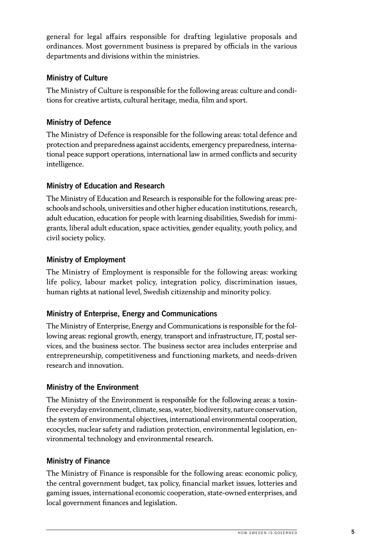general for legal affairs responsible for drafting legislative proposals and ordinances. Most government business is prepared by officials in the various departments and divisions within the ministries.

#### Ministry of Culture

The Ministry of Culture is responsible for the following areas: culture and conditions for creative artists, cultural heritage, media, film and sport.

#### Ministry of Defence

The Ministry of Defence is responsible for the following areas: total defence and protection and preparedness against accidents, emergency preparedness, international peace support operations, international law in armed conflicts and security intelligence.

#### Ministry of Education and Research

The Ministry of Education and Research is responsible for the following areas: preschools and schools, universities and other higher education institutions, research, adult education, education for people with learning disabilities, Swedish for immigrants, liberal adult education, space activities, gender equality, youth policy, and civil society policy.

#### Ministry of Employment

The Ministry of Employment is responsible for the following areas: working life policy, labour market policy, integration policy, discrimination issues, human rights at national level, Swedish citizenship and minority policy.

#### Ministry of Enterprise, Energy and Communications

The Ministry of Enterprise, Energy and Communications is responsible for the following areas: regional growth, energy, transport and infrastructure, IT, postal services, and the business sector. The business sector area includes enterprise and entrepreneurship, competitiveness and functioning markets, and needs-driven research and innovation.

#### Ministry of the Environment

The Ministry of the Environment is responsible for the following areas: a toxinfree everyday environment, climate, seas, water, biodiversity, nature conservation, the system of environmental objectives, international environmental cooperation, ecocycles, nuclear safety and radiation protection, environmental legislation, environmental technology and environmental research.

#### Ministry of Finance

The Ministry of Finance is responsible for the following areas: economic policy, the central government budget, tax policy, financial market issues, lotteries and gaming issues, international economic cooperation, state-owned enterprises, and local government finances and legislation.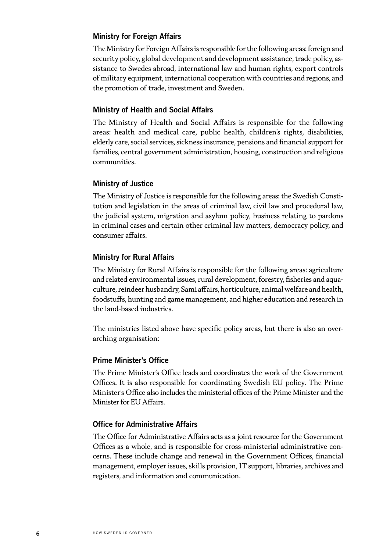#### Ministry for Foreign Affairs

The Ministry for Foreign Affairs is responsible for the following areas: foreign and security policy, global development and development assistance, trade policy, assistance to Swedes abroad, international law and human rights, export controls of military equipment, international cooperation with countries and regions, and the promotion of trade, investment and Sweden.

#### Ministry of Health and Social Affairs

The Ministry of Health and Social Affairs is responsible for the following areas: health and medical care, public health, children's rights, disabilities, elderly care, social services, sickness insurance, pensions and financial support for families, central government administration, housing, construction and religious communities.

#### Ministry of Justice

The Ministry of Justice is responsible for the following areas: the Swedish Constitution and legislation in the areas of criminal law, civil law and procedural law, the judicial system, migration and asylum policy, business relating to pardons in criminal cases and certain other criminal law matters, democracy policy, and consumer affairs.

#### Ministry for Rural Affairs

The Ministry for Rural Affairs is responsible for the following areas: agriculture and related environmental issues, rural development, forestry, fisheries and aquaculture, reindeer husbandry, Sami affairs, horticulture, animal welfare and health, foodstuffs, hunting and game management, and higher education and research in the land-based industries.

The ministries listed above have specific policy areas, but there is also an overarching organisation:

#### Prime Minister's Office

The Prime Minister's Office leads and coordinates the work of the Government Offices. It is also responsible for coordinating Swedish EU policy. The Prime Minister's Office also includes the ministerial offices of the Prime Minister and the Minister for EU Affairs.

#### Office for Administrative Affairs

The Office for Administrative Affairs acts as a joint resource for the Government Offices as a whole, and is responsible for cross-ministerial administrative concerns. These include change and renewal in the Government Offices, financial management, employer issues, skills provision, IT support, libraries, archives and registers, and information and communication.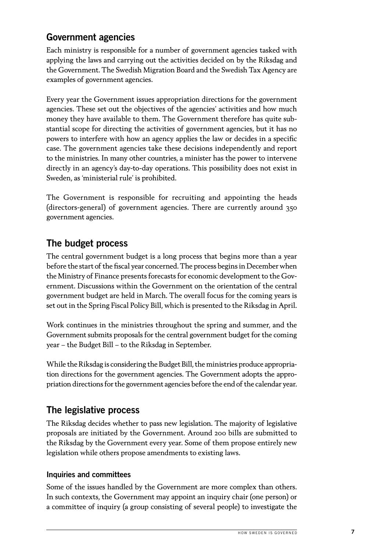## <span id="page-6-0"></span>Government agencies

Each ministry is responsible for a number of government agencies tasked with applying the laws and carrying out the activities decided on by the Riksdag and the Government. The Swedish Migration Board and the Swedish Tax Agency are examples of government agencies.

Every year the Government issues appropriation directions for the government agencies. These set out the objectives of the agencies' activities and how much money they have available to them. The Government therefore has quite substantial scope for directing the activities of government agencies, but it has no powers to interfere with how an agency applies the law or decides in a specific case. The government agencies take these decisions independently and report to the ministries. In many other countries, a minister has the power to intervene directly in an agency's day-to-day operations. This possibility does not exist in Sweden, as 'ministerial rule' is prohibited.

The Government is responsible for recruiting and appointing the heads (directors-general) of government agencies. There are currently around 350 government agencies.

## The budget process

The central government budget is a long process that begins more than a year before the start of the fiscal year concerned. The process begins in December when the Ministry of Finance presents forecasts for economic development to the Government. Discussions within the Government on the orientation of the central government budget are held in March. The overall focus for the coming years is set out in the Spring Fiscal Policy Bill, which is presented to the Riksdag in April.

Work continues in the ministries throughout the spring and summer, and the Government submits proposals for the central government budget for the coming year – the Budget Bill – to the Riksdag in September.

While the Riksdag is considering the Budget Bill, the ministries produce appropriation directions for the government agencies. The Government adopts the appropriation directions for the government agencies before the end of the calendar year.

## The legislative process

The Riksdag decides whether to pass new legislation. The majority of legislative proposals are initiated by the Government. Around 200 bills are submitted to the Riksdag by the Government every year. Some of them propose entirely new legislation while others propose amendments to existing laws.

#### Inquiries and committees

Some of the issues handled by the Government are more complex than others. In such contexts, the Government may appoint an inquiry chair (one person) or a committee of inquiry (a group consisting of several people) to investigate the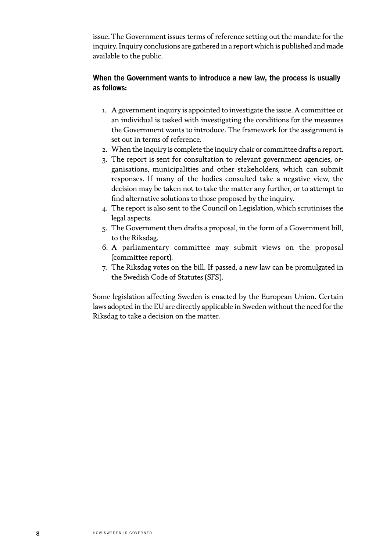issue. The Government issues terms of reference setting out the mandate for the inquiry. Inquiry conclusions are gathered in a report which is published and made available to the public.

#### When the Government wants to introduce a new law, the process is usually as follows:

- 1. A government inquiry is appointed to investigate the issue. A committee or an individual is tasked with investigating the conditions for the measures the Government wants to introduce. The framework for the assignment is set out in terms of reference.
- 2. When the inquiry is complete the inquiry chair or committee drafts a report.
- 3. The report is sent for consultation to relevant government agencies, organisations, municipalities and other stakeholders, which can submit responses. If many of the bodies consulted take a negative view, the decision may be taken not to take the matter any further, or to attempt to find alternative solutions to those proposed by the inquiry.
- 4. The report is also sent to the Council on Legislation, which scrutinises the legal aspects.
- 5. The Government then drafts a proposal, in the form of a Government bill, to the Riksdag.
- 6. A parliamentary committee may submit views on the proposal (committee report).
- 7. The Riksdag votes on the bill. If passed, a new law can be promulgated in the Swedish Code of Statutes (SFS).

Some legislation affecting Sweden is enacted by the European Union. Certain laws adopted in the EU are directly applicable in Sweden without the need for the Riksdag to take a decision on the matter.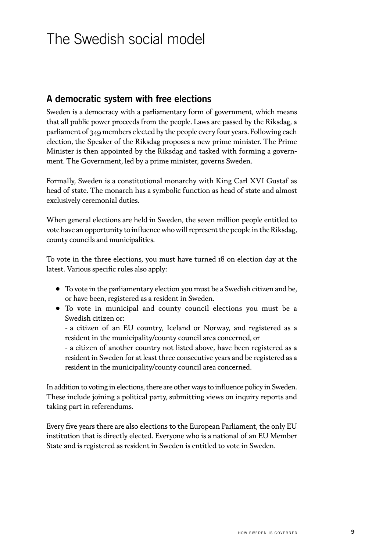## <span id="page-8-0"></span>The Swedish social model

## A democratic system with free elections

Sweden is a democracy with a parliamentary form of government, which means that all public power proceeds from the people. Laws are passed by the Riksdag, a parliament of 349 members elected by the people every four years. Following each election, the Speaker of the Riksdag proposes a new prime minister. The Prime Minister is then appointed by the Riksdag and tasked with forming a government. The Government, led by a prime minister, governs Sweden.

Formally, Sweden is a constitutional monarchy with King Carl XVI Gustaf as head of state. The monarch has a symbolic function as head of state and almost exclusively ceremonial duties.

When general elections are held in Sweden, the seven million people entitled to vote have an opportunity to influence who will represent the people in the Riksdag, county councils and municipalities.

To vote in the three elections, you must have turned 18 on election day at the latest. Various specific rules also apply:

- To vote in the parliamentary election you must be a Swedish citizen and be, or have been, registered as a resident in Sweden.
- To vote in municipal and county council elections you must be a Swedish citizen or:

 - a citizen of an EU country, Iceland or Norway, and registered as a resident in the municipality/county council area concerned, or

 - a citizen of another country not listed above, have been registered as a resident in Sweden for at least three consecutive years and be registered as a resident in the municipality/county council area concerned.

In addition to voting in elections, there are other ways to influence policy in Sweden. These include joining a political party, submitting views on inquiry reports and taking part in referendums.

Every five years there are also elections to the European Parliament, the only EU institution that is directly elected. Everyone who is a national of an EU Member State and is registered as resident in Sweden is entitled to vote in Sweden.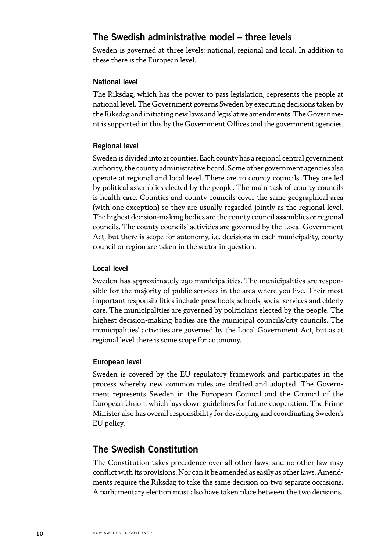## <span id="page-9-0"></span>The Swedish administrative model – three levels

Sweden is governed at three levels: national, regional and local. In addition to these there is the European level.

#### National level

The Riksdag, which has the power to pass legislation, represents the people at national level. The Government governs Sweden by executing decisions taken by the Riksdag and initiating new laws and legislative amendments. The Government is supported in this by the Government Offices and the government agencies.

#### Regional level

Sweden is divided into 21 counties. Each county has a regional central government authority, the county administrative board. Some other government agencies also operate at regional and local level. There are 20 county councils. They are led by political assemblies elected by the people. The main task of county councils is health care. Counties and county councils cover the same geographical area (with one exception) so they are usually regarded jointly as the regional level. The highest decision-making bodies are the county council assemblies or regional councils. The county councils' activities are governed by the Local Government Act, but there is scope for autonomy, i.e. decisions in each municipality, county council or region are taken in the sector in question.

#### Local level

Sweden has approximately 290 municipalities. The municipalities are responsible for the majority of public services in the area where you live. Their most important responsibilities include preschools, schools, social services and elderly care. The municipalities are governed by politicians elected by the people. The highest decision-making bodies are the municipal councils/city councils. The municipalities' activities are governed by the Local Government Act, but as at regional level there is some scope for autonomy.

#### European level

Sweden is covered by the EU regulatory framework and participates in the process whereby new common rules are drafted and adopted. The Government represents Sweden in the European Council and the Council of the European Union, which lays down guidelines for future cooperation. The Prime Minister also has overall responsibility for developing and coordinating Sweden's EU policy.

## The Swedish Constitution

The Constitution takes precedence over all other laws, and no other law may conflict with its provisions. Nor can it be amended as easily as other laws. Amendments require the Riksdag to take the same decision on two separate occasions. A parliamentary election must also have taken place between the two decisions.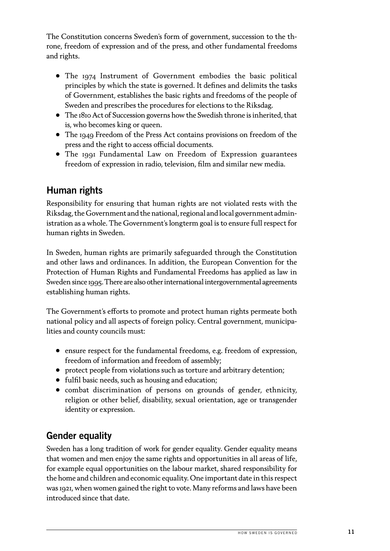<span id="page-10-0"></span>The Constitution concerns Sweden's form of government, succession to the throne, freedom of expression and of the press, and other fundamental freedoms and rights.

- The 1974 Instrument of Government embodies the basic political principles by which the state is governed. It defines and delimits the tasks of Government, establishes the basic rights and freedoms of the people of Sweden and prescribes the procedures for elections to the Riksdag.
- The 1810 Act of Succession governs how the Swedish throne is inherited, that is, who becomes king or queen.
- The 1949 Freedom of the Press Act contains provisions on freedom of the press and the right to access official documents.
- The 1991 Fundamental Law on Freedom of Expression guarantees freedom of expression in radio, television, film and similar new media.

## Human rights

Responsibility for ensuring that human rights are not violated rests with the Riksdag, the Government and the national, regional and local government administration as a whole. The Government's longterm goal is to ensure full respect for human rights in Sweden.

In Sweden, human rights are primarily safeguarded through the Constitution and other laws and ordinances. In addition, the European Convention for the Protection of Human Rights and Fundamental Freedoms has applied as law in Sweden since 1995. There are also other international intergovernmental agreements establishing human rights.

The Government's efforts to promote and protect human rights permeate both national policy and all aspects of foreign policy. Central government, municipalities and county councils must:

- ensure respect for the fundamental freedoms, e.g. freedom of expression, freedom of information and freedom of assembly;
- protect people from violations such as torture and arbitrary detention;
- fulfil basic needs, such as housing and education;
- combat discrimination of persons on grounds of gender, ethnicity, religion or other belief, disability, sexual orientation, age or transgender identity or expression.

## Gender equality

Sweden has a long tradition of work for gender equality. Gender equality means that women and men enjoy the same rights and opportunities in all areas of life, for example equal opportunities on the labour market, shared responsibility for the home and children and economic equality. One important date in this respect was 1921, when women gained the right to vote. Many reforms and laws have been introduced since that date.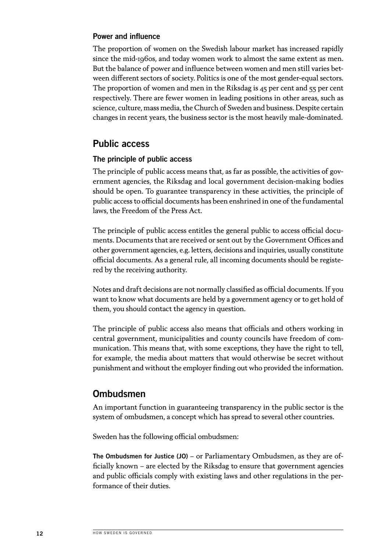#### <span id="page-11-0"></span>Power and influence

The proportion of women on the Swedish labour market has increased rapidly since the mid-1960s, and today women work to almost the same extent as men. But the balance of power and influence between women and men still varies between different sectors of society. Politics is one of the most gender-equal sectors. The proportion of women and men in the Riksdag is 45 per cent and 55 per cent respectively. There are fewer women in leading positions in other areas, such as science, culture, mass media, the Church of Sweden and business. Despite certain changes in recent years, the business sector is the most heavily male-dominated.

### Public access

#### The principle of public access

The principle of public access means that, as far as possible, the activities of government agencies, the Riksdag and local government decision-making bodies should be open. To guarantee transparency in these activities, the principle of public access to official documents has been enshrined in one of the fundamental laws, the Freedom of the Press Act.

The principle of public access entitles the general public to access official documents. Documents that are received or sent out by the Government Offices and other government agencies, e.g. letters, decisions and inquiries, usually constitute official documents. As a general rule, all incoming documents should be registered by the receiving authority.

Notes and draft decisions are not normally classified as official documents. If you want to know what documents are held by a government agency or to get hold of them, you should contact the agency in question.

The principle of public access also means that officials and others working in central government, municipalities and county councils have freedom of communication. This means that, with some exceptions, they have the right to tell, for example, the media about matters that would otherwise be secret without punishment and without the employer finding out who provided the information.

### Ombudsmen

An important function in guaranteeing transparency in the public sector is the system of ombudsmen, a concept which has spread to several other countries.

Sweden has the following official ombudsmen:

The Ombudsmen for Justice (JO) – or Parliamentary Ombudsmen, as they are officially known – are elected by the Riksdag to ensure that government agencies and public officials comply with existing laws and other regulations in the performance of their duties.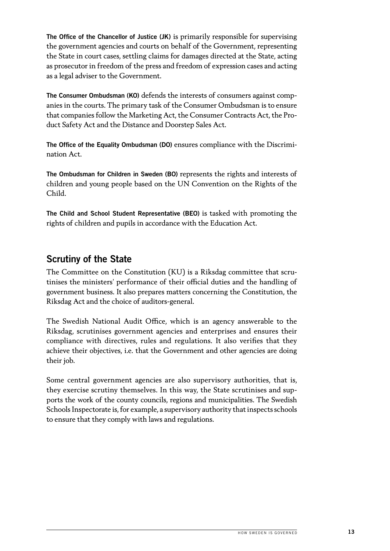<span id="page-12-0"></span>The Office of the Chancellor of Justice (JK) is primarily responsible for supervising the government agencies and courts on behalf of the Government, representing the State in court cases, settling claims for damages directed at the State, acting as prosecutor in freedom of the press and freedom of expression cases and acting as a legal adviser to the Government.

The Consumer Ombudsman (KO) defends the interests of consumers against companies in the courts. The primary task of the Consumer Ombudsman is to ensure that companies follow the Marketing Act, the Consumer Contracts Act, the Product Safety Act and the Distance and Doorstep Sales Act.

The Office of the Equality Ombudsman (DO) ensures compliance with the Discrimination Act.

The Ombudsman for Children in Sweden (BO) represents the rights and interests of children and young people based on the UN Convention on the Rights of the Child.

The Child and School Student Representative (BEO) is tasked with promoting the rights of children and pupils in accordance with the Education Act.

## Scrutiny of the State

The Committee on the Constitution (KU) is a Riksdag committee that scrutinises the ministers' performance of their official duties and the handling of government business. It also prepares matters concerning the Constitution, the Riksdag Act and the choice of auditors-general.

The Swedish National Audit Office, which is an agency answerable to the Riksdag, scrutinises government agencies and enterprises and ensures their compliance with directives, rules and regulations. It also verifies that they achieve their objectives, i.e. that the Government and other agencies are doing their job.

Some central government agencies are also supervisory authorities, that is, they exercise scrutiny themselves. In this way, the State scrutinises and supports the work of the county councils, regions and municipalities. The Swedish Schools Inspectorate is, for example, a supervisory authority that inspects schools to ensure that they comply with laws and regulations.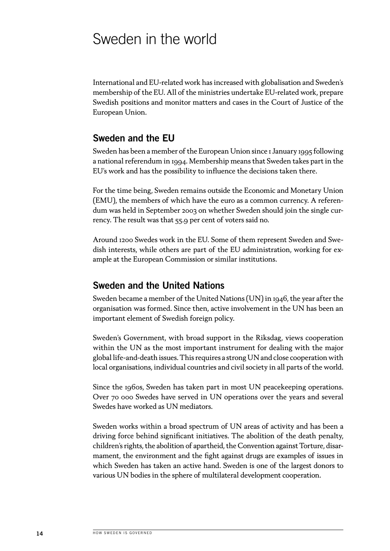## <span id="page-13-0"></span>Sweden in the world

International and EU-related work has increased with globalisation and Sweden's membership of the EU. All of the ministries undertake EU-related work, prepare Swedish positions and monitor matters and cases in the Court of Justice of the European Union.

### Sweden and the EU

Sweden has been a member of the European Union since 1 January 1995 following a national referendum in 1994. Membership means that Sweden takes part in the EU's work and has the possibility to influence the decisions taken there.

For the time being, Sweden remains outside the Economic and Monetary Union (EMU), the members of which have the euro as a common currency. A referendum was held in September 2003 on whether Sweden should join the single currency. The result was that 55.9 per cent of voters said no.

Around 1200 Swedes work in the EU. Some of them represent Sweden and Swedish interests, while others are part of the EU administration, working for example at the European Commission or similar institutions.

### Sweden and the United Nations

Sweden became a member of the United Nations (UN) in 1946, the year after the organisation was formed. Since then, active involvement in the UN has been an important element of Swedish foreign policy.

Sweden's Government, with broad support in the Riksdag, views cooperation within the UN as the most important instrument for dealing with the major global life-and-death issues. This requires a strong UN and close cooperation with local organisations, individual countries and civil society in all parts of the world.

Since the 1960s, Sweden has taken part in most UN peacekeeping operations. Over 70 000 Swedes have served in UN operations over the years and several Swedes have worked as UN mediators.

Sweden works within a broad spectrum of UN areas of activity and has been a driving force behind significant initiatives. The abolition of the death penalty, children's rights, the abolition of apartheid, the Convention against Torture, disarmament, the environment and the fight against drugs are examples of issues in which Sweden has taken an active hand. Sweden is one of the largest donors to various UN bodies in the sphere of multilateral development cooperation.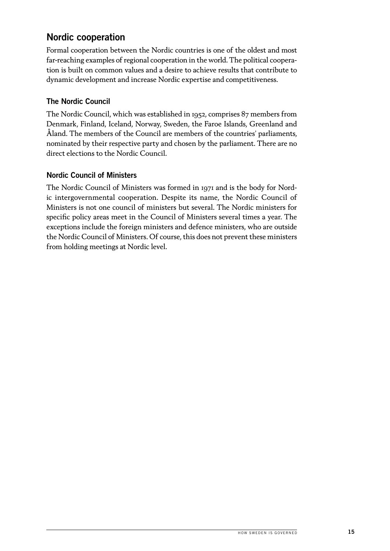## <span id="page-14-0"></span>Nordic cooperation

Formal cooperation between the Nordic countries is one of the oldest and most far-reaching examples of regional cooperation in the world. The political cooperation is built on common values and a desire to achieve results that contribute to dynamic development and increase Nordic expertise and competitiveness.

#### The Nordic Council

The Nordic Council, which was established in 1952, comprises 87 members from Denmark, Finland, Iceland, Norway, Sweden, the Faroe Islands, Greenland and Åland. The members of the Council are members of the countries' parliaments, nominated by their respective party and chosen by the parliament. There are no direct elections to the Nordic Council.

#### Nordic Council of Ministers

The Nordic Council of Ministers was formed in 1971 and is the body for Nordic intergovernmental cooperation. Despite its name, the Nordic Council of Ministers is not one council of ministers but several. The Nordic ministers for specific policy areas meet in the Council of Ministers several times a year. The exceptions include the foreign ministers and defence ministers, who are outside the Nordic Council of Ministers. Of course, this does not prevent these ministers from holding meetings at Nordic level.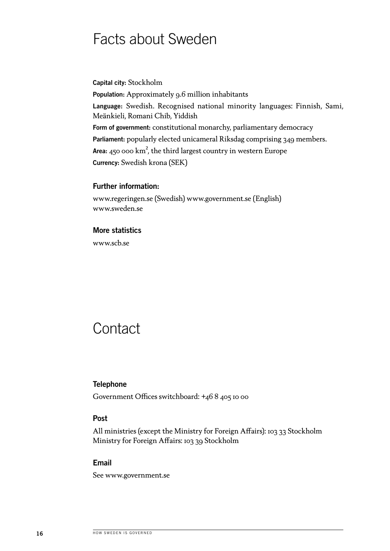## <span id="page-15-0"></span>Facts about Sweden

Capital city: Stockholm

Population: Approximately 9.6 million inhabitants Language: Swedish. Recognised national minority languages: Finnish, Sami, Meänkieli, Romani Chib, Yiddish Form of government: constitutional monarchy, parliamentary democracy Parliament: popularly elected unicameral Riksdag comprising 349 members. Area:  $450 \cdot 100 \cdot \mathrm{km}^2$ , the third largest country in western Europe Currency: Swedish krona (SEK)

#### Further information:

[www.regeringen.se](http://www.regeringen.se) (Swedish) [www.government.se](http://www.government.se) (English) [www.sweden.se](http://www.sweden.se )

#### More statistics

www.scb.se

## **Contact**

#### **Telephone**

Government Offices switchboard: +46 8 405 10 00

#### Post

All ministries (except the Ministry for Foreign Affairs): 103 33 Stockholm Ministry for Foreign Affairs: 103 39 Stockholm

#### Email

See [www.government.se](http://www.government.se)